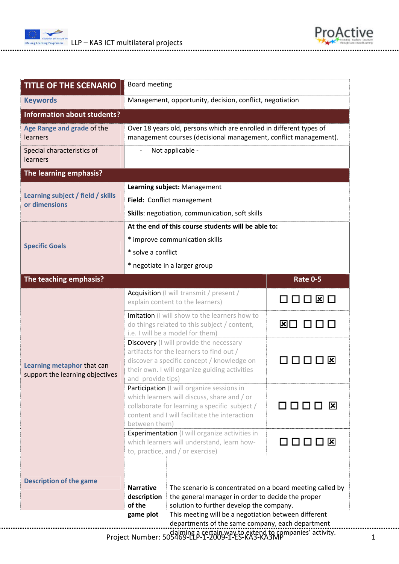



| <b>TITLE OF THE SCENARIO</b>                                  | <b>Board meeting</b>                                                                                                                                                                                                       |                                                                                                                                                      |                 |  |
|---------------------------------------------------------------|----------------------------------------------------------------------------------------------------------------------------------------------------------------------------------------------------------------------------|------------------------------------------------------------------------------------------------------------------------------------------------------|-----------------|--|
| <b>Keywords</b>                                               | Management, opportunity, decision, conflict, negotiation                                                                                                                                                                   |                                                                                                                                                      |                 |  |
| <b>Information about students?</b>                            |                                                                                                                                                                                                                            |                                                                                                                                                      |                 |  |
| Age Range and grade of the<br>learners                        | Over 18 years old, persons which are enrolled in different types of<br>management courses (decisional management, conflict management).                                                                                    |                                                                                                                                                      |                 |  |
| Special characteristics of<br>learners                        | Not applicable -                                                                                                                                                                                                           |                                                                                                                                                      |                 |  |
| The learning emphasis?                                        |                                                                                                                                                                                                                            |                                                                                                                                                      |                 |  |
| Learning subject / field / skills<br>or dimensions            | Learning subject: Management                                                                                                                                                                                               |                                                                                                                                                      |                 |  |
|                                                               | Field: Conflict management                                                                                                                                                                                                 |                                                                                                                                                      |                 |  |
|                                                               | Skills: negotiation, communication, soft skills                                                                                                                                                                            |                                                                                                                                                      |                 |  |
| <b>Specific Goals</b>                                         | At the end of this course students will be able to:                                                                                                                                                                        |                                                                                                                                                      |                 |  |
|                                                               | * improve communication skills                                                                                                                                                                                             |                                                                                                                                                      |                 |  |
|                                                               | * solve a conflict                                                                                                                                                                                                         |                                                                                                                                                      |                 |  |
|                                                               | * negotiate in a larger group                                                                                                                                                                                              |                                                                                                                                                      |                 |  |
| The teaching emphasis?                                        |                                                                                                                                                                                                                            |                                                                                                                                                      | <b>Rate 0-5</b> |  |
| Learning metaphor that can<br>support the learning objectives | Acquisition (I will transmit / present /<br>explain content to the learners)                                                                                                                                               |                                                                                                                                                      | 000 X 0         |  |
|                                                               | Imitation (I will show to the learners how to<br>do things related to this subject / content,<br>i.e. I will be a model for them)                                                                                          |                                                                                                                                                      | BO OOO          |  |
|                                                               | Discovery (I will provide the necessary<br>artifacts for the learners to find out /<br>discover a specific concept / knowledge on<br>$\vert x \vert$<br>their own. I will organize guiding activities<br>and provide tips) |                                                                                                                                                      |                 |  |
|                                                               | Participation (I will organize sessions in<br>which learners will discuss, share and / or<br>collaborate for learning a specific subject /<br>content and I will facilitate the interaction<br>between them)               |                                                                                                                                                      | x               |  |
|                                                               | <b>Experimentation</b> (I will organize activities in<br>which learners will understand, learn how-<br>to, practice, and / or exercise)                                                                                    |                                                                                                                                                      | 0000¤           |  |
| <b>Description of the game</b>                                | <b>Narrative</b><br>description                                                                                                                                                                                            | The scenario is concentrated on a board meeting called by<br>the general manager in order to decide the proper                                       |                 |  |
|                                                               | of the<br>game plot                                                                                                                                                                                                        | solution to further develop the company.<br>This meeting will be a negotiation between different<br>departments of the same company, each department |                 |  |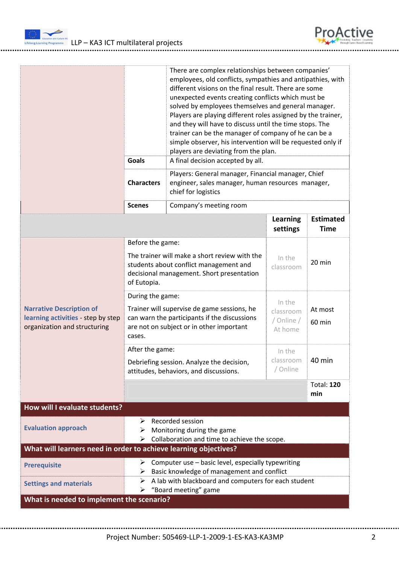

LLP – KA3 ICT multilateral projects

|                                                                                                       | <b>Goals</b><br><b>Characters</b>                                                                                                                                                                                | There are complex relationships between companies'<br>employees, old conflicts, sympathies and antipathies, with<br>different visions on the final result. There are some<br>unexpected events creating conflicts which must be<br>solved by employees themselves and general manager.<br>Players are playing different roles assigned by the trainer,<br>and they will have to discuss until the time stops. The<br>trainer can be the manager of company of he can be a<br>simple observer, his intervention will be requested only if<br>players are deviating from the plan.<br>A final decision accepted by all.<br>Players: General manager, Financial manager, Chief<br>engineer, sales manager, human resources manager, |                                              |                                 |  |  |
|-------------------------------------------------------------------------------------------------------|------------------------------------------------------------------------------------------------------------------------------------------------------------------------------------------------------------------|----------------------------------------------------------------------------------------------------------------------------------------------------------------------------------------------------------------------------------------------------------------------------------------------------------------------------------------------------------------------------------------------------------------------------------------------------------------------------------------------------------------------------------------------------------------------------------------------------------------------------------------------------------------------------------------------------------------------------------|----------------------------------------------|---------------------------------|--|--|
|                                                                                                       |                                                                                                                                                                                                                  | chief for logistics<br>Company's meeting room                                                                                                                                                                                                                                                                                                                                                                                                                                                                                                                                                                                                                                                                                    |                                              |                                 |  |  |
|                                                                                                       | <b>Scenes</b>                                                                                                                                                                                                    |                                                                                                                                                                                                                                                                                                                                                                                                                                                                                                                                                                                                                                                                                                                                  | <b>Learning</b><br>settings                  | <b>Estimated</b><br><b>Time</b> |  |  |
|                                                                                                       | Before the game:<br>The trainer will make a short review with the<br>students about conflict management and<br>decisional management. Short presentation<br>of Eutopia.                                          |                                                                                                                                                                                                                                                                                                                                                                                                                                                                                                                                                                                                                                                                                                                                  | In the<br>classroom                          | $20$ min                        |  |  |
| <b>Narrative Description of</b><br>learning activities - step by step<br>organization and structuring | During the game:<br>Trainer will supervise de game sessions, he<br>can warn the participants if the discussions<br>are not on subject or in other important<br>cases.                                            |                                                                                                                                                                                                                                                                                                                                                                                                                                                                                                                                                                                                                                                                                                                                  | In the<br>classroom<br>/ Online /<br>At home | At most<br>60 min               |  |  |
|                                                                                                       | After the game:<br>Debriefing session. Analyze the decision,<br>attitudes, behaviors, and discussions.                                                                                                           |                                                                                                                                                                                                                                                                                                                                                                                                                                                                                                                                                                                                                                                                                                                                  | In the<br>classroom<br>/ Online              | 40 min                          |  |  |
|                                                                                                       |                                                                                                                                                                                                                  |                                                                                                                                                                                                                                                                                                                                                                                                                                                                                                                                                                                                                                                                                                                                  |                                              | <b>Total: 120</b><br>min        |  |  |
| How will I evaluate students?                                                                         |                                                                                                                                                                                                                  |                                                                                                                                                                                                                                                                                                                                                                                                                                                                                                                                                                                                                                                                                                                                  |                                              |                                 |  |  |
| <b>Evaluation approach</b>                                                                            | Recorded session<br>➤<br>Monitoring during the game<br>➤<br>Collaboration and time to achieve the scope.<br>➤                                                                                                    |                                                                                                                                                                                                                                                                                                                                                                                                                                                                                                                                                                                                                                                                                                                                  |                                              |                                 |  |  |
| What will learners need in order to achieve learning objectives?                                      |                                                                                                                                                                                                                  |                                                                                                                                                                                                                                                                                                                                                                                                                                                                                                                                                                                                                                                                                                                                  |                                              |                                 |  |  |
| <b>Prerequisite</b><br><b>Settings and materials</b>                                                  | $\triangleright$ Computer use – basic level, especially typewriting<br>Basic knowledge of management and conflict<br>➤<br>A lab with blackboard and computers for each student<br>≻<br>"Board meeting" game<br>➤ |                                                                                                                                                                                                                                                                                                                                                                                                                                                                                                                                                                                                                                                                                                                                  |                                              |                                 |  |  |
| What is needed to implement the scenario?                                                             |                                                                                                                                                                                                                  |                                                                                                                                                                                                                                                                                                                                                                                                                                                                                                                                                                                                                                                                                                                                  |                                              |                                 |  |  |

ProActive